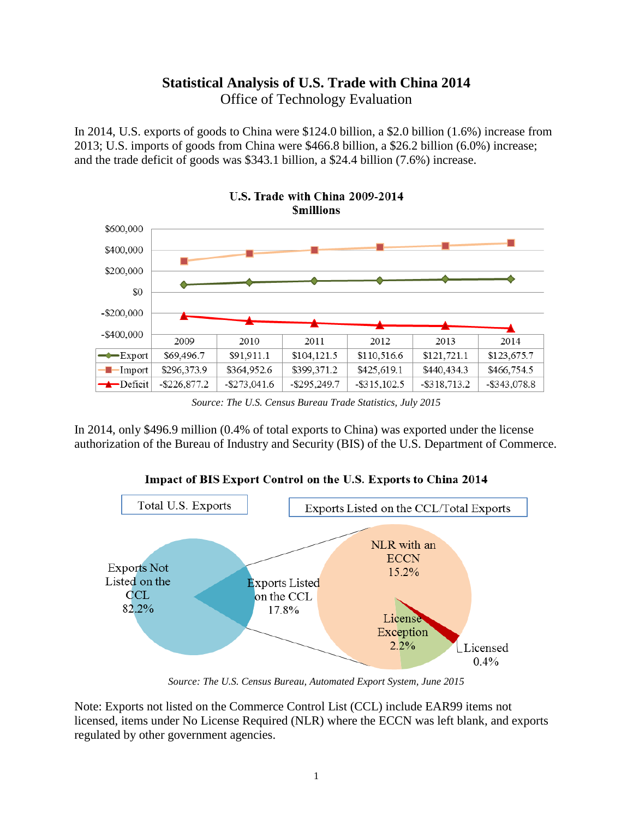# **Statistical Analysis of U.S. Trade with China 2014** Office of Technology Evaluation

In 2014, U.S. exports of goods to China were \$124.0 billion, a \$2.0 billion (1.6%) increase from 2013; U.S. imports of goods from China were \$466.8 billion, a \$26.2 billion (6.0%) increase; and the trade deficit of goods was \$343.1 billion, a \$24.4 billion (7.6%) increase.



U.S. Trade with China 2009-2014

In 2014, only \$496.9 million (0.4% of total exports to China) was exported under the license authorization of the Bureau of Industry and Security (BIS) of the U.S. Department of Commerce.



*Source: The U.S. Census Bureau, Automated Export System, June 2015*

Note: Exports not listed on the Commerce Control List (CCL) include EAR99 items not licensed, items under No License Required (NLR) where the ECCN was left blank, and exports regulated by other government agencies.

*Source: The U.S. Census Bureau Trade Statistics, July 2015*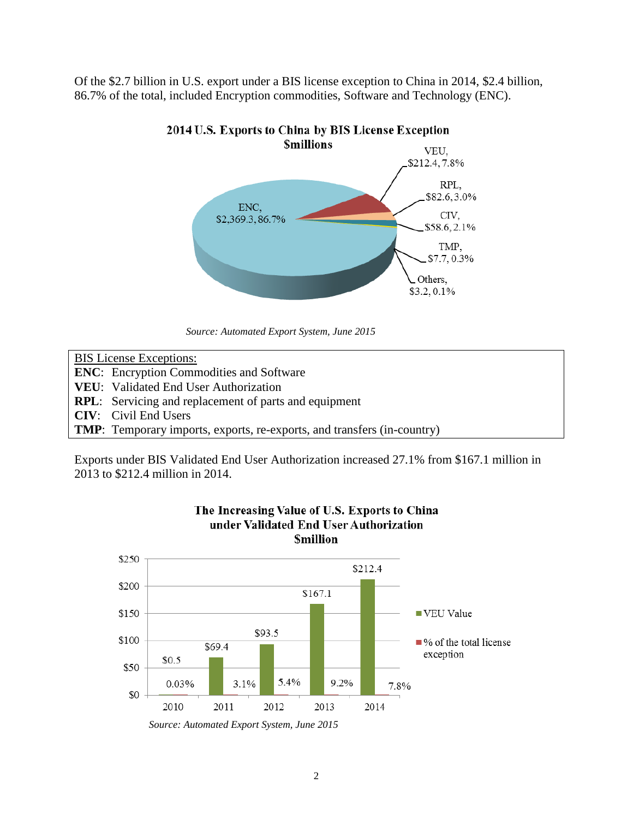Of the \$2.7 billion in U.S. export under a BIS license exception to China in 2014, \$2.4 billion, 86.7% of the total, included Encryption commodities, Software and Technology (ENC).



### 2014 U.S. Exports to China by BIS License Exception

*Source: Automated Export System, June 2015*

| <b>BIS</b> License Exceptions:                                                  |
|---------------------------------------------------------------------------------|
| <b>ENC</b> : Encryption Commodities and Software                                |
| <b>VEU:</b> Validated End User Authorization                                    |
| <b>RPL:</b> Servicing and replacement of parts and equipment                    |
| <b>CIV</b> : Civil End Users                                                    |
| <b>TMP</b> : Temporary imports, exports, re-exports, and transfers (in-country) |

Exports under BIS Validated End User Authorization increased 27.1% from \$167.1 million in 2013 to \$212.4 million in 2014.



The Increasing Value of U.S. Exports to China under Validated End User Authorization **Smillion** 

*Source: Automated Export System, June 2015*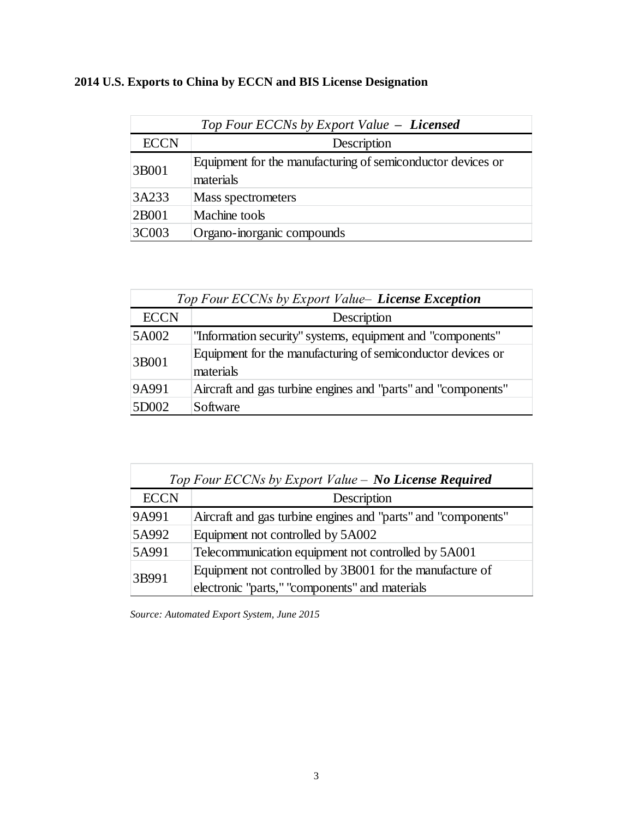# **2014 U.S. Exports to China by ECCN and BIS License Designation**

| Top Four ECCNs by Export Value - Licensed |                                                                          |  |  |  |
|-------------------------------------------|--------------------------------------------------------------------------|--|--|--|
| <b>ECCN</b>                               | Description                                                              |  |  |  |
| 3B001                                     | Equipment for the manufacturing of semiconductor devices or<br>materials |  |  |  |
| 3A233                                     | Mass spectrometers                                                       |  |  |  |
| 2B001                                     | Machine tools                                                            |  |  |  |
| 3C003                                     | Organo-inorganic compounds                                               |  |  |  |

| Top Four ECCNs by Export Value- License Exception |                                                                          |  |  |  |  |
|---------------------------------------------------|--------------------------------------------------------------------------|--|--|--|--|
| <b>ECCN</b>                                       | Description                                                              |  |  |  |  |
| 5A002                                             | "Information security" systems, equipment and "components"               |  |  |  |  |
| 3B001                                             | Equipment for the manufacturing of semiconductor devices or<br>materials |  |  |  |  |
| 9A991                                             | Aircraft and gas turbine engines and "parts" and "components"            |  |  |  |  |
| 5D002                                             | Software                                                                 |  |  |  |  |

| Top Four ECCNs by Export Value – No License Required |                                                               |  |  |  |
|------------------------------------------------------|---------------------------------------------------------------|--|--|--|
| <b>ECCN</b>                                          | Description                                                   |  |  |  |
| 9A991                                                | Aircraft and gas turbine engines and "parts" and "components" |  |  |  |
| 5A992                                                | Equipment not controlled by 5A002                             |  |  |  |
| 5A991                                                | Telecommunication equipment not controlled by 5A001           |  |  |  |
| 3B991                                                | Equipment not controlled by 3B001 for the manufacture of      |  |  |  |
|                                                      | electronic "parts," "components" and materials                |  |  |  |

*Source: Automated Export System, June 2015*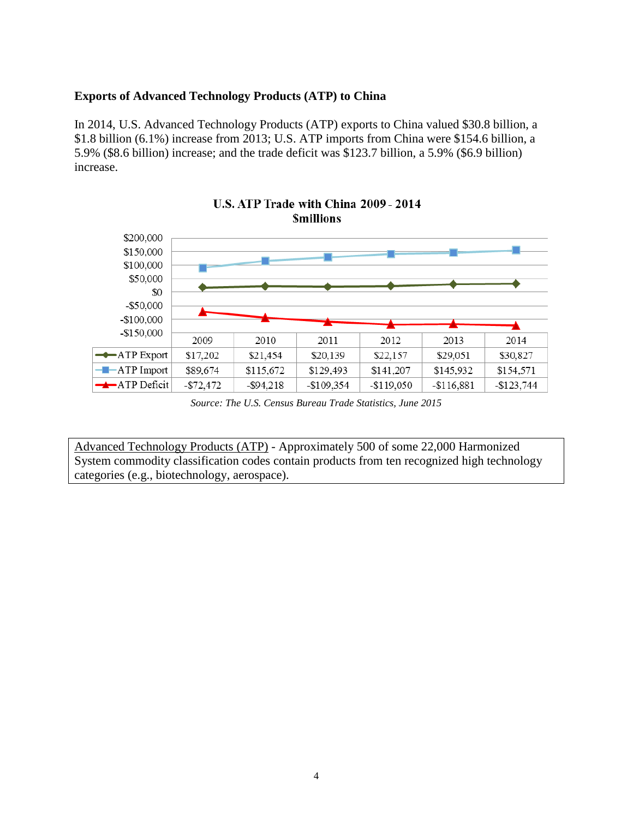#### **Exports of Advanced Technology Products (ATP) to China**

In 2014, U.S. Advanced Technology Products (ATP) exports to China valued \$30.8 billion, a \$1.8 billion (6.1%) increase from 2013; U.S. ATP imports from China were \$154.6 billion, a 5.9% (\$8.6 billion) increase; and the trade deficit was \$123.7 billion, a 5.9% (\$6.9 billion) increase.



## U.S. ATP Trade with China 2009 - 2014 **Smillions**

*Source: The U.S. Census Bureau Trade Statistics, June 2015*

Advanced Technology Products (ATP) - Approximately 500 of some 22,000 Harmonized System commodity classification codes contain products from ten recognized high technology categories (e.g., biotechnology, aerospace).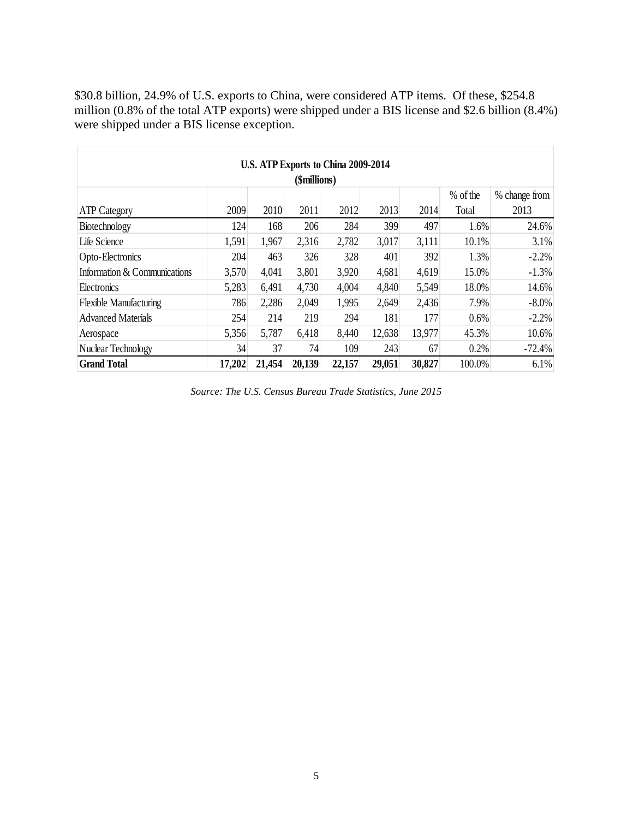\$30.8 billion, 24.9% of U.S. exports to China, were considered ATP items. Of these, \$254.8 million (0.8% of the total ATP exports) were shipped under a BIS license and \$2.6 billion (8.4%) were shipped under a BIS license exception.

| U.S. ATP Exports to China 2009-2014 |        |        |        |        |        |        |          |               |
|-------------------------------------|--------|--------|--------|--------|--------|--------|----------|---------------|
| (\$millions)                        |        |        |        |        |        |        |          |               |
|                                     |        |        |        |        |        |        | % of the | % change from |
| <b>ATP</b> Category                 | 2009   | 2010   | 2011   | 2012   | 2013   | 2014   | Total    | 2013          |
| Biotechnology                       | 124    | 168    | 206    | 284    | 399    | 497    | 1.6%     | 24.6%         |
| Life Science                        | 1,591  | 1,967  | 2,316  | 2,782  | 3,017  | 3,111  | 10.1%    | 3.1%          |
| Opto-Electronics                    | 204    | 463    | 326    | 328    | 401    | 392    | 1.3%     | $-2.2%$       |
| Information & Communications        | 3,570  | 4,041  | 3,801  | 3,920  | 4,681  | 4,619  | 15.0%    | $-1.3%$       |
| Electronics                         | 5,283  | 6,491  | 4,730  | 4,004  | 4,840  | 5,549  | 18.0%    | 14.6%         |
| <b>Flexible Manufacturing</b>       | 786    | 2,286  | 2,049  | 1,995  | 2,649  | 2,436  | 7.9%     | $-8.0\%$      |
| <b>Advanced Materials</b>           | 254    | 214    | 219    | 294    | 181    | 177    | 0.6%     | $-2.2%$       |
| Aerospace                           | 5,356  | 5,787  | 6,418  | 8,440  | 12,638 | 13,977 | 45.3%    | 10.6%         |
| Nuclear Technology                  | 34     | 37     | 74     | 109    | 243    | 67     | 0.2%     | $-72.4%$      |
| <b>Grand Total</b>                  | 17,202 | 21,454 | 20,139 | 22,157 | 29,051 | 30,827 | 100.0%   | 6.1%          |

*Source: The U.S. Census Bureau Trade Statistics, June 2015*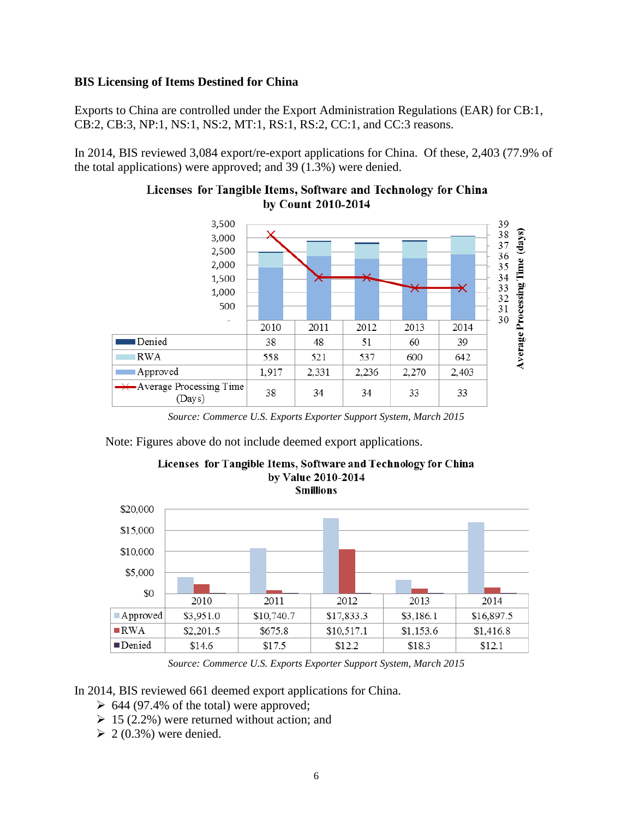#### **BIS Licensing of Items Destined for China**

Exports to China are controlled under the Export Administration Regulations (EAR) for CB:1, CB:2, CB:3, NP:1, NS:1, NS:2, MT:1, RS:1, RS:2, CC:1, and CC:3 reasons.

In 2014, BIS reviewed 3,084 export/re-export applications for China. Of these, 2,403 (77.9% of the total applications) were approved; and 39 (1.3%) were denied.



#### Licenses for Tangible Items, Software and Technology for China by Count 2010-2014

*Source: Commerce U.S. Exports Exporter Support System, March 2015*

Note: Figures above do not include deemed export applications.



Licenses for Tangible Items, Software and Technology for China by Value 2010-2014 **Smillions** 

*Source: Commerce U.S. Exports Exporter Support System, March 2015*

In 2014, BIS reviewed 661 deemed export applications for China.

- $\geq 644$  (97.4% of the total) were approved;
- $\geq 15$  (2.2%) were returned without action; and
- $\geq 2(0.3\%)$  were denied.